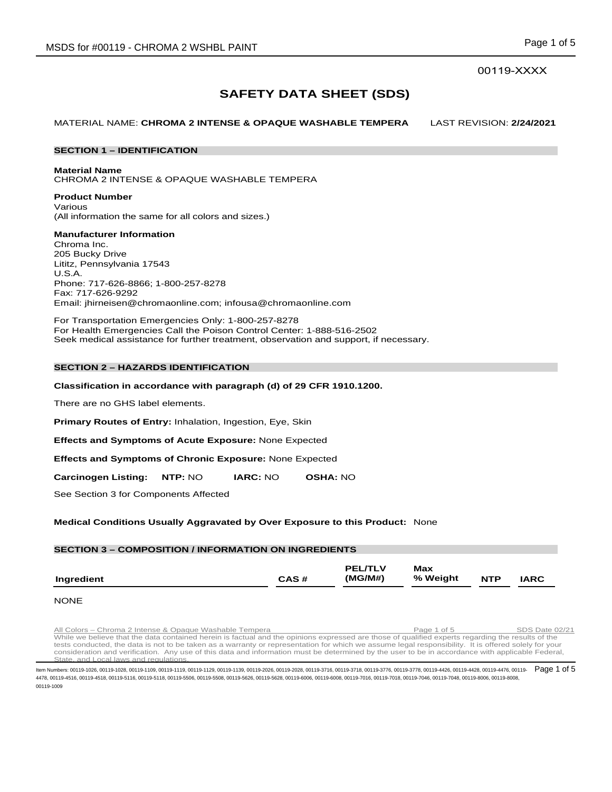# 00119-XXXX

# **SAFETY DATA SHEET (SDS)**

MATERIAL NAME: **CHROMA 2 INTENSE & OPAQUE WASHABLE TEMPERA** LAST REVISION: **2/24/2021**

# **SECTION 1 – IDENTIFICATION**

#### **Material Name**

CHROMA 2 INTENSE & OPAQUE WASHABLE TEMPERA

#### **Product Number** Various (All information the same for all colors and sizes.)

# **Manufacturer Information**

Chroma Inc. 205 Bucky Drive Lititz, Pennsylvania 17543 U.S.A. Phone: 717-626-8866; 1-800-257-8278 Fax: 717-626-9292 Email: jhirneisen@chromaonline.com; infousa@chromaonline.com

For Transportation Emergencies Only: 1-800-257-8278 For Health Emergencies Call the Poison Control Center: 1-888-516-2502 Seek medical assistance for further treatment, observation and support, if necessary.

# **SECTION 2 – HAZARDS IDENTIFICATION**

# **Classification in accordance with paragraph (d) of 29 CFR 1910.1200.**

There are no GHS label elements.

**Primary Routes of Entry:** Inhalation, Ingestion, Eye, Skin

**Effects and Symptoms of Acute Exposure:** None Expected

**Effects and Symptoms of Chronic Exposure:** None Expected

**Carcinogen Listing: NTP:** NO **IARC:** NO **OSHA:** NO

See Section 3 for Components Affected

# **Medical Conditions Usually Aggravated by Over Exposure to this Product:** None

# **SECTION 3 – COMPOSITION / INFORMATION ON INGREDIENTS**

|            |      | <b>PEL/TLV</b> | Max      |            |             |
|------------|------|----------------|----------|------------|-------------|
| Ingredient | CAS# | (MG/M#)        | % Weight | <b>NTP</b> | <b>IARC</b> |

# NONE

All Colors – Chroma 2 Intense & Opaque Washable Tempera<br>While we believe that the data contained herein is factual and the opinions expressed are those of qualified experts regarding the results of the tests conducted, the data is not to be taken as a warranty or representation for which we assume legal responsibility. It is offered solely for your consideration and verification. Any use of this data and information must be determined by the user to be in accordance with applicable Federal, State, and Local laws and regulations.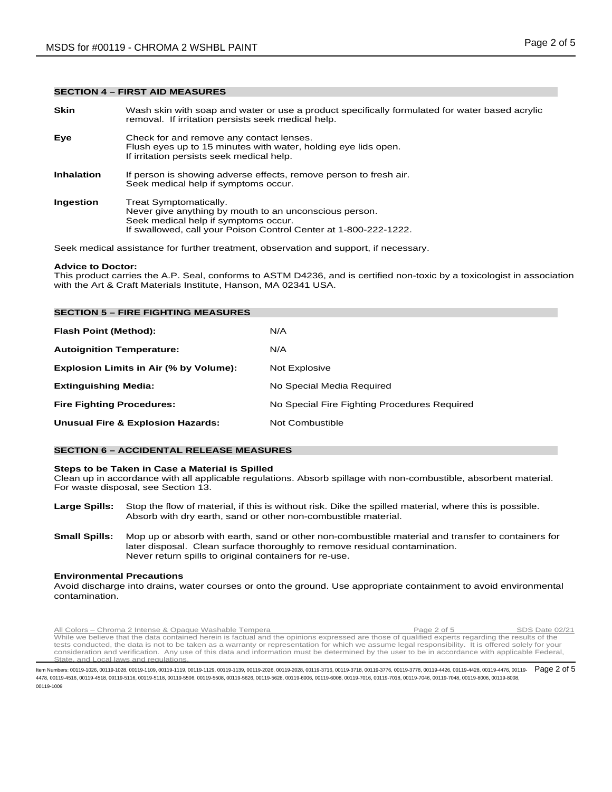#### **SECTION 4 – FIRST AID MEASURES**

| <b>Skin</b>       | Wash skin with soap and water or use a product specifically formulated for water based acrylic<br>removal. If irritation persists seek medical help.                                         |
|-------------------|----------------------------------------------------------------------------------------------------------------------------------------------------------------------------------------------|
| Eye               | Check for and remove any contact lenses.<br>Flush eyes up to 15 minutes with water, holding eye lids open.<br>If irritation persists seek medical help.                                      |
| <b>Inhalation</b> | If person is showing adverse effects, remove person to fresh air.<br>Seek medical help if symptoms occur.                                                                                    |
| Ingestion         | Treat Symptomatically.<br>Never give anything by mouth to an unconscious person.<br>Seek medical help if symptoms occur.<br>If swallowed, call your Poison Control Center at 1-800-222-1222. |
|                   |                                                                                                                                                                                              |

Seek medical assistance for further treatment, observation and support, if necessary.

#### **Advice to Doctor:**

This product carries the A.P. Seal, conforms to ASTM D4236, and is certified non-toxic by a toxicologist in association with the Art & Craft Materials Institute, Hanson, MA 02341 USA.

| <b>SECTION 5 - FIRE FIGHTING MEASURES</b>    |                                              |
|----------------------------------------------|----------------------------------------------|
| Flash Point (Method):                        | N/A                                          |
| <b>Autoignition Temperature:</b>             | N/A                                          |
| Explosion Limits in Air (% by Volume):       | Not Explosive                                |
| <b>Extinguishing Media:</b>                  | No Special Media Required                    |
| <b>Fire Fighting Procedures:</b>             | No Special Fire Fighting Procedures Required |
| <b>Unusual Fire &amp; Explosion Hazards:</b> | Not Combustible                              |

# **SECTION 6 – ACCIDENTAL RELEASE MEASURES**

#### **Steps to be Taken in Case a Material is Spilled**

Clean up in accordance with all applicable regulations. Absorb spillage with non-combustible, absorbent material. For waste disposal, see Section 13.

- **Large Spills:** Stop the flow of material, if this is without risk. Dike the spilled material, where this is possible. Absorb with dry earth, sand or other non-combustible material.
- **Small Spills:** Mop up or absorb with earth, sand or other non-combustible material and transfer to containers for later disposal. Clean surface thoroughly to remove residual contamination. Never return spills to original containers for re-use.

#### **Environmental Precautions**

Avoid discharge into drains, water courses or onto the ground. Use appropriate containment to avoid environmental contamination.

Rul Colors – Chroma 2 Intense & Opaque Washable Tempera<br>While we believe that the data contained herein is factual and the opinions expressed are those of qualified experts regarding the results of the tests conducted, the data is not to be taken as a warranty or representation for which we assume legal responsibility. It is offered solely for your consideration and verification. Any use of this data and information must be determined by the user to be in accordance with applicable Federal, State, and Local laws and regulations.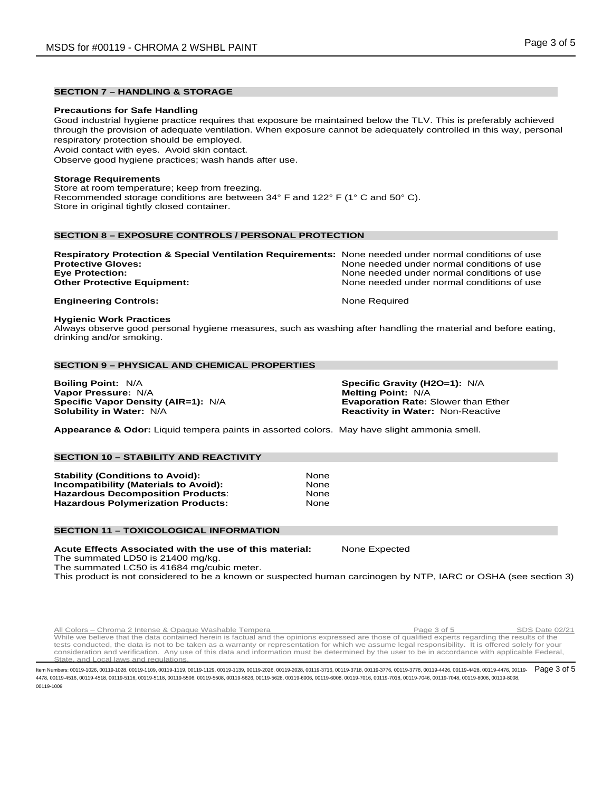# **SECTION 7 – HANDLING & STORAGE**

#### **Precautions for Safe Handling**

Good industrial hygiene practice requires that exposure be maintained below the TLV. This is preferably achieved through the provision of adequate ventilation. When exposure cannot be adequately controlled in this way, personal respiratory protection should be employed.

Avoid contact with eyes. Avoid skin contact.

Observe good hygiene practices; wash hands after use.

# **Storage Requirements**

Store at room temperature; keep from freezing. Recommended storage conditions are between 34° F and 122° F (1° C and 50° C). Store in original tightly closed container.

# **SECTION 8 – EXPOSURE CONTROLS / PERSONAL PROTECTION**

| <b>Respiratory Protection &amp; Special Ventilation Requirements:</b> None needed under normal conditions of use |                                            |
|------------------------------------------------------------------------------------------------------------------|--------------------------------------------|
| <b>Protective Gloves:</b>                                                                                        | None needed under normal conditions of use |
| <b>Eye Protection:</b>                                                                                           | None needed under normal conditions of use |
| <b>Other Protective Equipment:</b>                                                                               | None needed under normal conditions of use |
| <b>Engineering Controls:</b>                                                                                     | None Required                              |

#### **Hygienic Work Practices**

Always observe good personal hygiene measures, such as washing after handling the material and before eating, drinking and/or smoking.

# **SECTION 9 – PHYSICAL AND CHEMICAL PROPERTIES**

**Boiling Point:** N/A **Specific Gravity (H2O=1):** N/A **Vapor Pressure: N/A<br><b>Specific Vapor Density (AIR=1):** N/A **Specific Vapor Density (AIR=1):** N/A **Evaporation Rate:** Slower than Ether

**Reactivity in Water: Non-Reactive** 

**Appearance & Odor:** Liquid tempera paints in assorted colors. May have slight ammonia smell.

# **SECTION 10 – STABILITY AND REACTIVITY**

**Stability (Conditions to Avoid): 31 Mone**<br>**Incompatibility (Materials to Avoid):** 8 None **Incompatibility (Materials to Avoid):** None **Hazardous Decomposition Products: Hazardous Polymerization Products:** None

#### **SECTION 11 – TOXICOLOGICAL INFORMATION**

**Acute Effects Associated with the use of this material:** None Expected The summated LD50 is 21400 mg/kg.

The summated LC50 is 41684 mg/cubic meter.

This product is not considered to be a known or suspected human carcinogen by NTP, IARC or OSHA (see section 3)

All Colors – Chroma 2 Intense & Opaque Washable Tempera **Page 3 of 5** SDS Date 02/21 While we believe that the data contained herein is factual and the opinions expressed are those of qualified experts regarding the results of the tests conducted, the data is not to be taken as a warranty or representation for which we assume legal responsibility. It is offered solely for your consideration and verification. Any use of this data and information must be determined by the user to be in accordance with applicable Federal, State, and Local laws and regulations.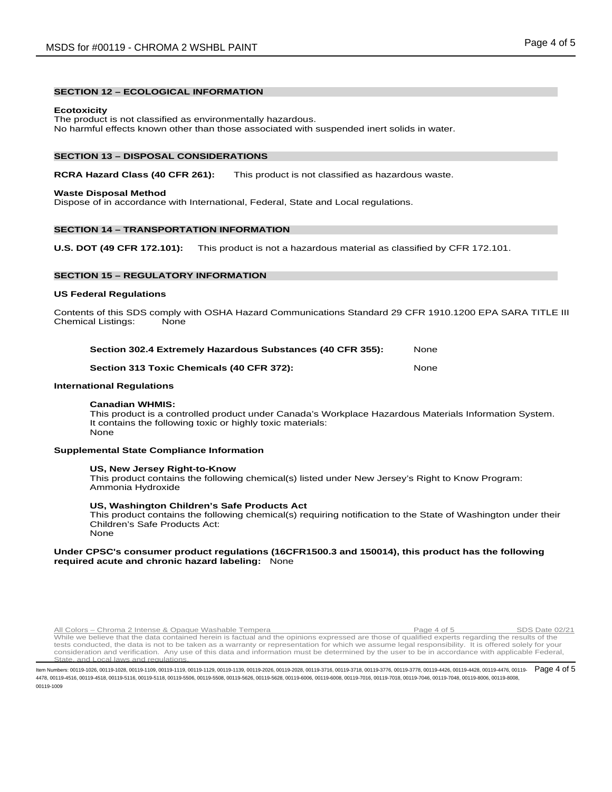# **SECTION 12 – ECOLOGICAL INFORMATION**

#### **Ecotoxicity**

The product is not classified as environmentally hazardous. No harmful effects known other than those associated with suspended inert solids in water.

#### **SECTION 13 – DISPOSAL CONSIDERATIONS**

# **RCRA Hazard Class (40 CFR 261):** This product is not classified as hazardous waste.

#### **Waste Disposal Method**

Dispose of in accordance with International, Federal, State and Local regulations.

# **SECTION 14 – TRANSPORTATION INFORMATION**

**U.S. DOT (49 CFR 172.101):** This product is not a hazardous material as classified by CFR 172.101.

# **SECTION 15 – REGULATORY INFORMATION**

#### **US Federal Regulations**

Contents of this SDS comply with OSHA Hazard Communications Standard 29 CFR 1910.1200 EPA SARA TITLE III Chemical Listings: None

| Section 302.4 Extremely Hazardous Substances (40 CFR 355): |      |
|------------------------------------------------------------|------|
| Section 313 Toxic Chemicals (40 CFR 372):                  | None |

#### **International Regulations**

#### **Canadian WHMIS:**

This product is a controlled product under Canada's Workplace Hazardous Materials Information System. It contains the following toxic or highly toxic materials: None

#### **Supplemental State Compliance Information**

#### **US, New Jersey Right-to-Know**

This product contains the following chemical(s) listed under New Jersey's Right to Know Program: Ammonia Hydroxide

#### **US, Washington Children's Safe Products Act**

This product contains the following chemical(s) requiring notification to the State of Washington under their Children's Safe Products Act: None

#### **Under CPSC's consumer product regulations (16CFR1500.3 and 150014), this product has the following required acute and chronic hazard labeling:** None

All Colors – Chroma 2 Intense & Opaque Washable Tempera **Page 4 of 5** SDS Date 02/21 While we believe that the data contained herein is factual and the opinions expressed are those of qualified experts regarding the results of the tests conducted, the data is not to be taken as a warranty or representation for which we assume legal responsibility. It is offered solely for your consideration and verification. Any use of this data and information must be determined by the user to be in accordance with applicable Federal, State, and Local laws and regulations.